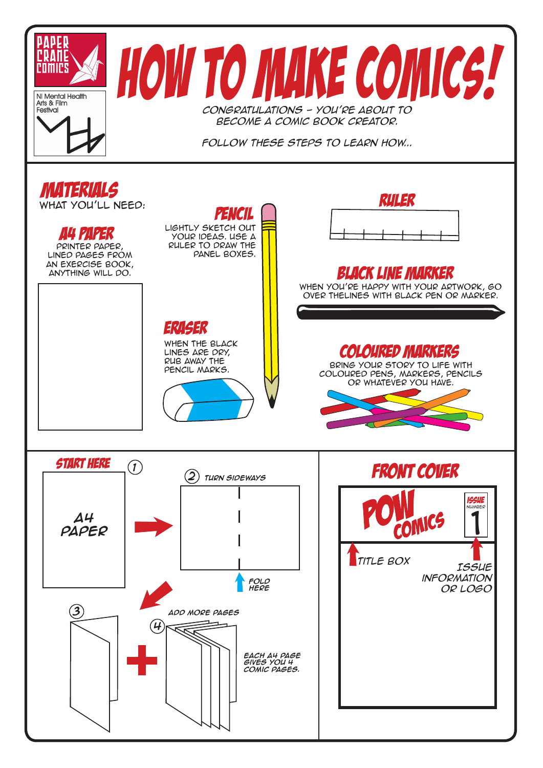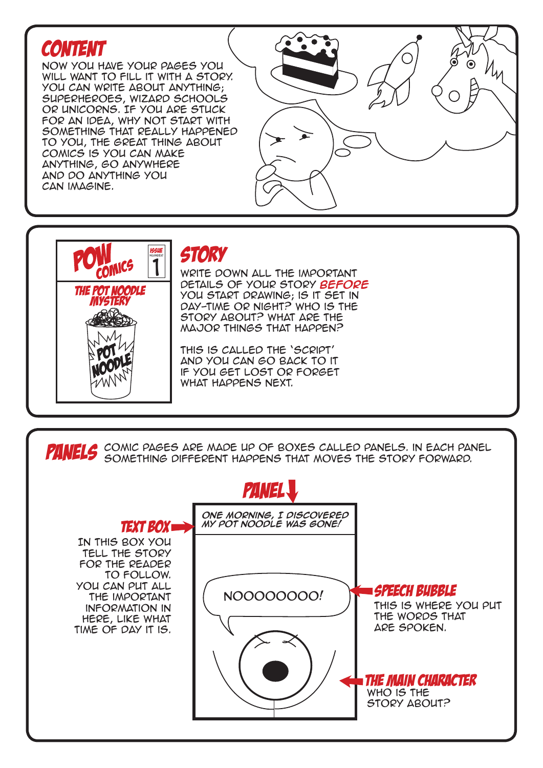## **CONTENT**

Now you have your pages you will want to fill it with a story. You can write about anything; superheroes, wizard schools or Unicorns. If you are stuck for an idea, why not start with something that really happened to you, the great thing about comics is you can make anything, go anywhere and do anything you can imagine.

## ◉  $^{\prime\prime}$



## **STORY**

Write down all the important details of your story **before** you start drawing; is it set in day-time or night? Who is the story about? What are the major things that happen?

This is called the 'script' and you can go back to it if you get lost or forget what happens next.



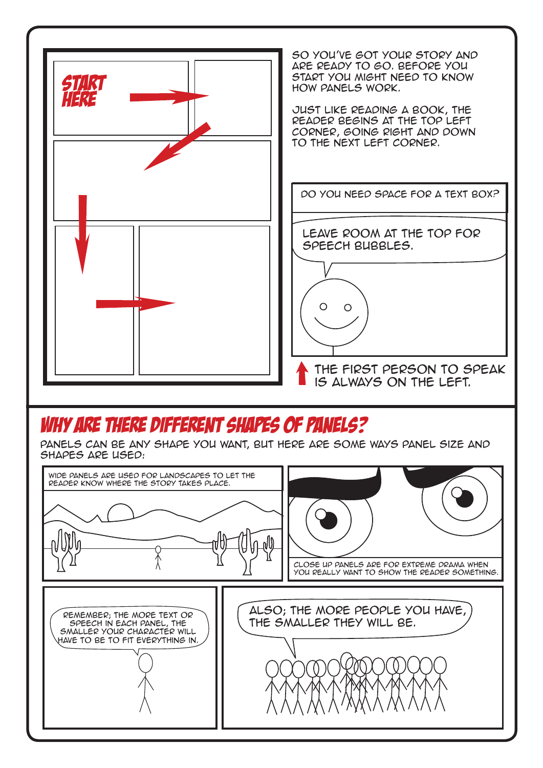

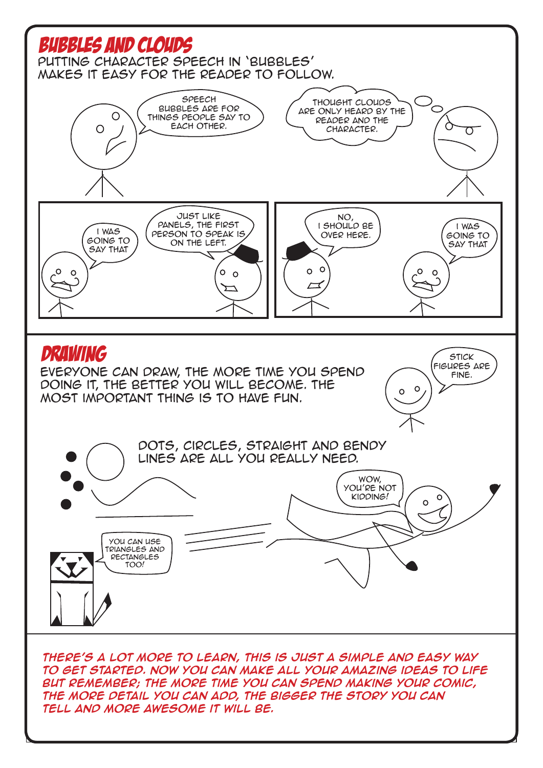